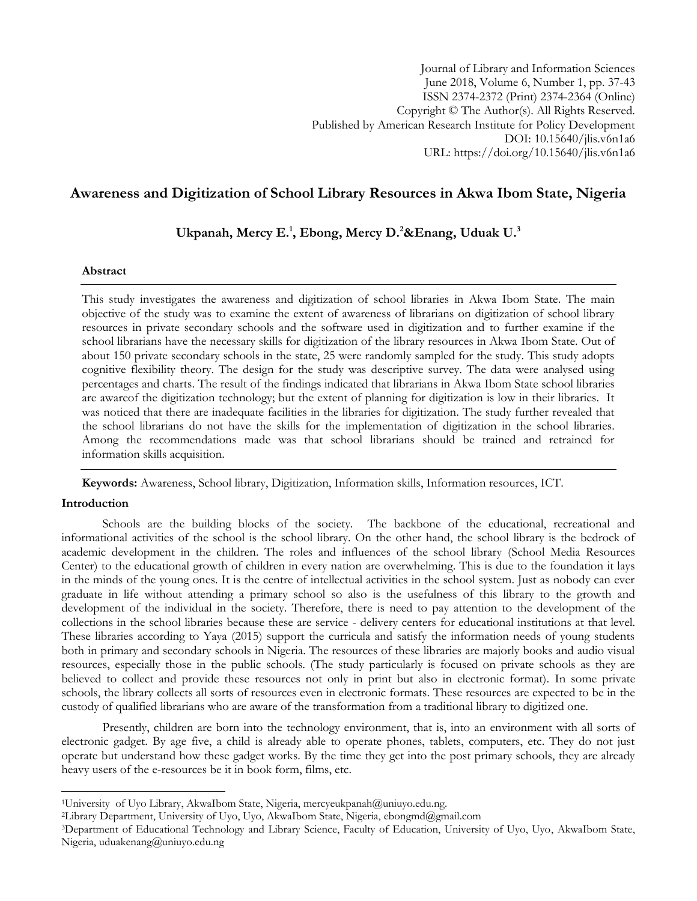# **Awareness and Digitization of School Library Resources in Akwa Ibom State, Nigeria**

**Ukpanah, Mercy E.<sup>1</sup> , Ebong, Mercy D.<sup>2</sup>&Enang, Uduak U.<sup>3</sup>**

### **Abstract**

This study investigates the awareness and digitization of school libraries in Akwa Ibom State. The main objective of the study was to examine the extent of awareness of librarians on digitization of school library resources in private secondary schools and the software used in digitization and to further examine if the school librarians have the necessary skills for digitization of the library resources in Akwa Ibom State. Out of about 150 private secondary schools in the state, 25 were randomly sampled for the study. This study adopts cognitive flexibility theory. The design for the study was descriptive survey. The data were analysed using percentages and charts. The result of the findings indicated that librarians in Akwa Ibom State school libraries are awareof the digitization technology; but the extent of planning for digitization is low in their libraries. It was noticed that there are inadequate facilities in the libraries for digitization. The study further revealed that the school librarians do not have the skills for the implementation of digitization in the school libraries. Among the recommendations made was that school librarians should be trained and retrained for information skills acquisition.

**Keywords:** Awareness, School library, Digitization, Information skills, Information resources, ICT.

## **Introduction**

l

Schools are the building blocks of the society. The backbone of the educational, recreational and informational activities of the school is the school library. On the other hand, the school library is the bedrock of academic development in the children. The roles and influences of the school library (School Media Resources Center) to the educational growth of children in every nation are overwhelming. This is due to the foundation it lays in the minds of the young ones. It is the centre of intellectual activities in the school system. Just as nobody can ever graduate in life without attending a primary school so also is the usefulness of this library to the growth and development of the individual in the society. Therefore, there is need to pay attention to the development of the collections in the school libraries because these are service - delivery centers for educational institutions at that level. These libraries according to Yaya (2015) support the curricula and satisfy the information needs of young students both in primary and secondary schools in Nigeria. The resources of these libraries are majorly books and audio visual resources, especially those in the public schools. (The study particularly is focused on private schools as they are believed to collect and provide these resources not only in print but also in electronic format). In some private schools, the library collects all sorts of resources even in electronic formats. These resources are expected to be in the custody of qualified librarians who are aware of the transformation from a traditional library to digitized one.

Presently, children are born into the technology environment, that is, into an environment with all sorts of electronic gadget. By age five, a child is already able to operate phones, tablets, computers, etc. They do not just operate but understand how these gadget works. By the time they get into the post primary schools, they are already heavy users of the e-resources be it in book form, films, etc.

<sup>&</sup>lt;sup>1</sup>University of Uyo Library, AkwaIbom State, Nigeria, mercyeukpanah@uniuyo.edu.ng.

<sup>&</sup>lt;sup>2</sup>Library Department, University of Uyo, Uyo, AkwaIbom State, Nigeria, [ebongmd@gmail.com](mailto:ebongmd@gmail.com)

<sup>3</sup>Department of Educational Technology and Library Science, Faculty of Education, University of Uyo, Uyo, AkwaIbom State, Nigeria, uduakenang@uniuyo.edu.ng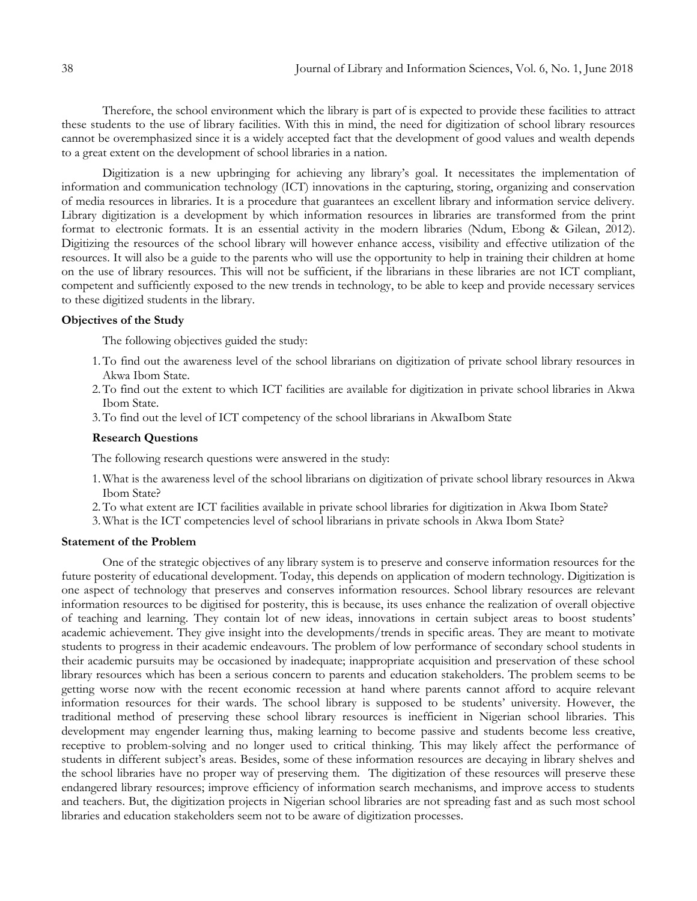Therefore, the school environment which the library is part of is expected to provide these facilities to attract these students to the use of library facilities. With this in mind, the need for digitization of school library resources cannot be overemphasized since it is a widely accepted fact that the development of good values and wealth depends to a great extent on the development of school libraries in a nation.

Digitization is a new upbringing for achieving any library's goal. It necessitates the implementation of information and communication technology (ICT) innovations in the capturing, storing, organizing and conservation of media resources in libraries. It is a procedure that guarantees an excellent library and information service delivery. Library digitization is a development by which information resources in libraries are transformed from the print format to electronic formats. It is an essential activity in the modern libraries (Ndum, Ebong & Gilean, 2012). Digitizing the resources of the school library will however enhance access, visibility and effective utilization of the resources. It will also be a guide to the parents who will use the opportunity to help in training their children at home on the use of library resources. This will not be sufficient, if the librarians in these libraries are not ICT compliant, competent and sufficiently exposed to the new trends in technology, to be able to keep and provide necessary services to these digitized students in the library.

### **Objectives of the Study**

The following objectives guided the study:

- 1.To find out the awareness level of the school librarians on digitization of private school library resources in Akwa Ibom State.
- 2.To find out the extent to which ICT facilities are available for digitization in private school libraries in Akwa Ibom State.
- 3.To find out the level of ICT competency of the school librarians in AkwaIbom State

#### **Research Questions**

The following research questions were answered in the study:

- 1.What is the awareness level of the school librarians on digitization of private school library resources in Akwa Ibom State?
- 2.To what extent are ICT facilities available in private school libraries for digitization in Akwa Ibom State?
- 3.What is the ICT competencies level of school librarians in private schools in Akwa Ibom State?

#### **Statement of the Problem**

One of the strategic objectives of any library system is to preserve and conserve information resources for the future posterity of educational development. Today, this depends on application of modern technology. Digitization is one aspect of technology that preserves and conserves information resources. School library resources are relevant information resources to be digitised for posterity, this is because, its uses enhance the realization of overall objective of teaching and learning. They contain lot of new ideas, innovations in certain subject areas to boost students' academic achievement. They give insight into the developments/trends in specific areas. They are meant to motivate students to progress in their academic endeavours. The problem of low performance of secondary school students in their academic pursuits may be occasioned by inadequate; inappropriate acquisition and preservation of these school library resources which has been a serious concern to parents and education stakeholders. The problem seems to be getting worse now with the recent economic recession at hand where parents cannot afford to acquire relevant information resources for their wards. The school library is supposed to be students' university. However, the traditional method of preserving these school library resources is inefficient in Nigerian school libraries. This development may engender learning thus, making learning to become passive and students become less creative, receptive to problem-solving and no longer used to critical thinking. This may likely affect the performance of students in different subject's areas. Besides, some of these information resources are decaying in library shelves and the school libraries have no proper way of preserving them. The digitization of these resources will preserve these endangered library resources; improve efficiency of information search mechanisms, and improve access to students and teachers. But, the digitization projects in Nigerian school libraries are not spreading fast and as such most school libraries and education stakeholders seem not to be aware of digitization processes.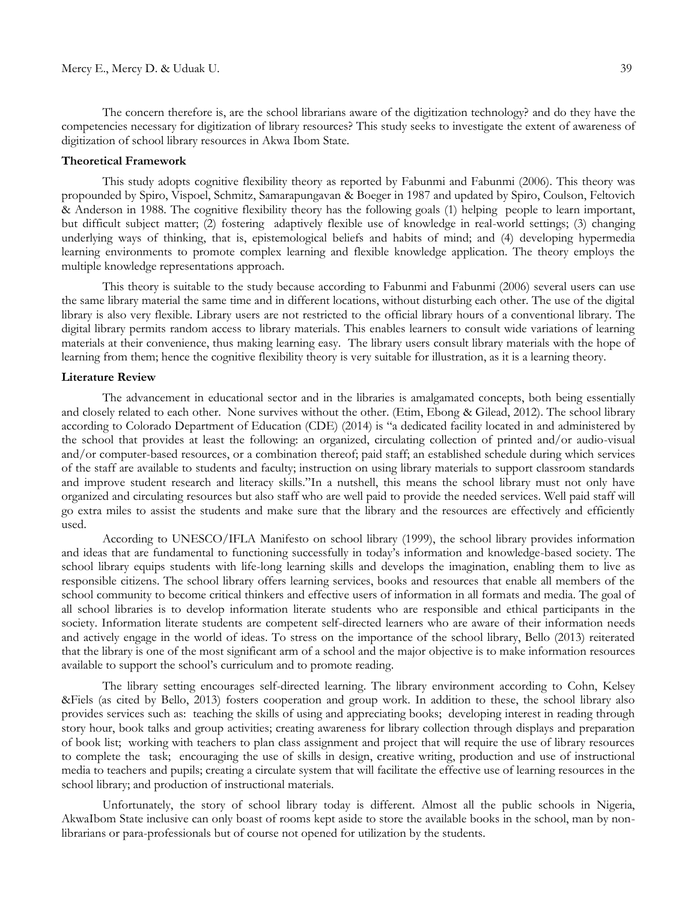The concern therefore is, are the school librarians aware of the digitization technology? and do they have the competencies necessary for digitization of library resources? This study seeks to investigate the extent of awareness of digitization of school library resources in Akwa Ibom State.

#### **Theoretical Framework**

This study adopts cognitive flexibility theory as reported by Fabunmi and Fabunmi (2006). This theory was propounded by Spiro, Vispoel, Schmitz, Samarapungavan & Boeger in 1987 and updated by Spiro, Coulson, Feltovich & Anderson in 1988. The cognitive flexibility theory has the following goals (1) helping people to learn important, but difficult subject matter; (2) fostering adaptively flexible use of knowledge in real-world settings; (3) changing underlying ways of thinking, that is, epistemological beliefs and habits of mind; and (4) developing hypermedia learning environments to promote complex learning and flexible knowledge application. The theory employs the multiple knowledge representations approach.

This theory is suitable to the study because according to Fabunmi and Fabunmi (2006) several users can use the same library material the same time and in different locations, without disturbing each other. The use of the digital library is also very flexible. Library users are not restricted to the official library hours of a conventional library. The digital library permits random access to library materials. This enables learners to consult wide variations of learning materials at their convenience, thus making learning easy. The library users consult library materials with the hope of learning from them; hence the cognitive flexibility theory is very suitable for illustration, as it is a learning theory.

## **Literature Review**

The advancement in educational sector and in the libraries is amalgamated concepts, both being essentially and closely related to each other. None survives without the other. (Etim, Ebong & Gilead, 2012). The school library according to Colorado Department of Education (CDE) (2014) is "a dedicated facility located in and administered by the school that provides at least the following: an organized, circulating collection of printed and/or audio-visual and/or computer-based resources, or a combination thereof; paid staff; an established schedule during which services of the staff are available to students and faculty; instruction on using library materials to support classroom standards and improve student research and literacy skills."In a nutshell, this means the school library must not only have organized and circulating resources but also staff who are well paid to provide the needed services. Well paid staff will go extra miles to assist the students and make sure that the library and the resources are effectively and efficiently used.

According to UNESCO/IFLA Manifesto on school library (1999), the school library provides information and ideas that are fundamental to functioning successfully in today's information and knowledge-based society. The school library equips students with life-long learning skills and develops the imagination, enabling them to live as responsible citizens. The school library offers learning services, books and resources that enable all members of the school community to become critical thinkers and effective users of information in all formats and media. The goal of all school libraries is to develop information literate students who are responsible and ethical participants in the society. Information literate students are competent self-directed learners who are aware of their information needs and actively engage in the world of ideas. To stress on the importance of the school library, Bello (2013) reiterated that the library is one of the most significant arm of a school and the major objective is to make information resources available to support the school's curriculum and to promote reading.

The library setting encourages self-directed learning. The library environment according to Cohn, Kelsey &Fiels (as cited by Bello, 2013) fosters cooperation and group work. In addition to these, the school library also provides services such as: teaching the skills of using and appreciating books; developing interest in reading through story hour, book talks and group activities; creating awareness for library collection through displays and preparation of book list; working with teachers to plan class assignment and project that will require the use of library resources to complete the task; encouraging the use of skills in design, creative writing, production and use of instructional media to teachers and pupils; creating a circulate system that will facilitate the effective use of learning resources in the school library; and production of instructional materials.

Unfortunately, the story of school library today is different. Almost all the public schools in Nigeria, AkwaIbom State inclusive can only boast of rooms kept aside to store the available books in the school, man by nonlibrarians or para-professionals but of course not opened for utilization by the students.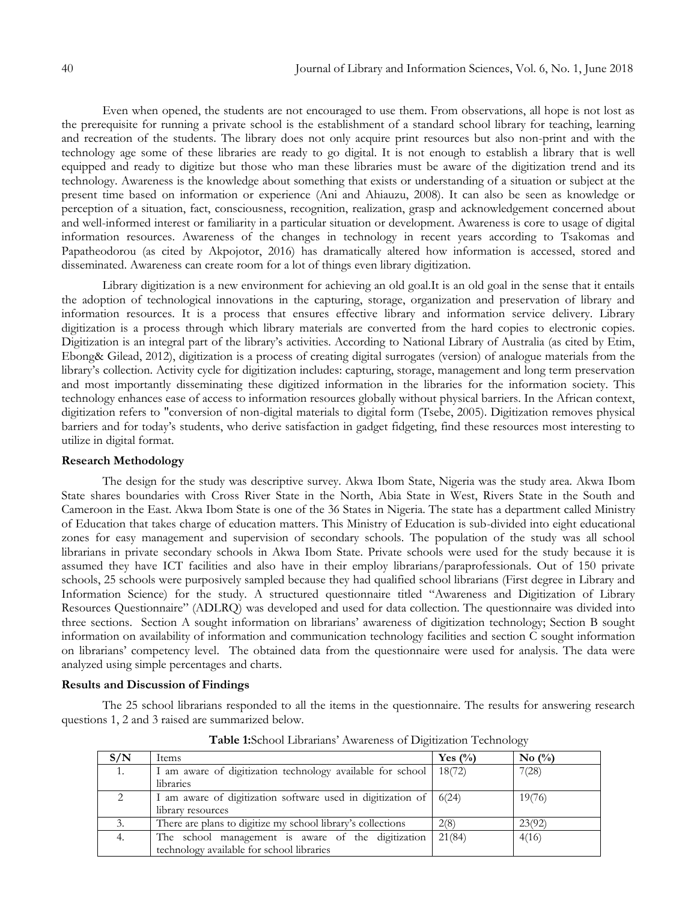Even when opened, the students are not encouraged to use them. From observations, all hope is not lost as the prerequisite for running a private school is the establishment of a standard school library for teaching, learning and recreation of the students. The library does not only acquire print resources but also non-print and with the technology age some of these libraries are ready to go digital. It is not enough to establish a library that is well equipped and ready to digitize but those who man these libraries must be aware of the digitization trend and its technology. Awareness is the knowledge about something that exists or understanding of a situation or subject at the present time based on information or experience (Ani and Ahiauzu, 2008). It can also be seen as knowledge or perception of a situation, fact, consciousness, recognition, realization, grasp and acknowledgement concerned about and well-informed interest or familiarity in a particular situation or development. Awareness is core to usage of digital information resources. Awareness of the changes in technology in recent years according to Tsakomas and Papatheodorou (as cited by Akpojotor, 2016) has dramatically altered how information is accessed, stored and disseminated. Awareness can create room for a lot of things even library digitization.

Library digitization is a new environment for achieving an old goal.It is an old goal in the sense that it entails the adoption of technological innovations in the capturing, storage, organization and preservation of library and information resources. It is a process that ensures effective library and information service delivery. Library digitization is a process through which library materials are converted from the hard copies to electronic copies. Digitization is an integral part of the library's activities. According to National Library of Australia (as cited by Etim, Ebong& Gilead, 2012), digitization is a process of creating digital surrogates (version) of analogue materials from the library's collection. Activity cycle for digitization includes: capturing, storage, management and long term preservation and most importantly disseminating these digitized information in the libraries for the information society. This technology enhances ease of access to information resources globally without physical barriers. In the African context, digitization refers to "conversion of non-digital materials to digital form (Tsebe, 2005). Digitization removes physical barriers and for today's students, who derive satisfaction in gadget fidgeting, find these resources most interesting to utilize in digital format.

#### **Research Methodology**

The design for the study was descriptive survey. Akwa Ibom State, Nigeria was the study area. Akwa Ibom State shares boundaries with Cross River State in the North, Abia State in West, Rivers State in the South and Cameroon in the East. Akwa Ibom State is one of the 36 States in Nigeria. The state has a department called Ministry of Education that takes charge of education matters. This Ministry of Education is sub-divided into eight educational zones for easy management and supervision of secondary schools. The population of the study was all school librarians in private secondary schools in Akwa Ibom State. Private schools were used for the study because it is assumed they have ICT facilities and also have in their employ librarians/paraprofessionals. Out of 150 private schools, 25 schools were purposively sampled because they had qualified school librarians (First degree in Library and Information Science) for the study. A structured questionnaire titled "Awareness and Digitization of Library Resources Questionnaire" (ADLRQ) was developed and used for data collection. The questionnaire was divided into three sections. Section A sought information on librarians' awareness of digitization technology; Section B sought information on availability of information and communication technology facilities and section C sought information on librarians' competency level. The obtained data from the questionnaire were used for analysis. The data were analyzed using simple percentages and charts.

#### **Results and Discussion of Findings**

The 25 school librarians responded to all the items in the questionnaire. The results for answering research questions 1, 2 and 3 raised are summarized below.

| S/N           | Items                                                       | Yes $\frac{0}{0}$ | No $\left(\frac{0}{0}\right)$ |
|---------------|-------------------------------------------------------------|-------------------|-------------------------------|
| 1.            | I am aware of digitization technology available for school  | 18(72)            | 7(28)                         |
|               | libraries                                                   |                   |                               |
| $\mathcal{D}$ | I am aware of digitization software used in digitization of | 6(24)             | 19(76)                        |
|               | library resources                                           |                   |                               |
| 3.            | There are plans to digitize my school library's collections | 2(8)              | 23(92)                        |
| 4.            | The school management is aware of the digitization          | 21(84)            | 4(16)                         |
|               | technology available for school libraries                   |                   |                               |
|               |                                                             |                   |                               |

**Table 1:**School Librarians' Awareness of Digitization Technology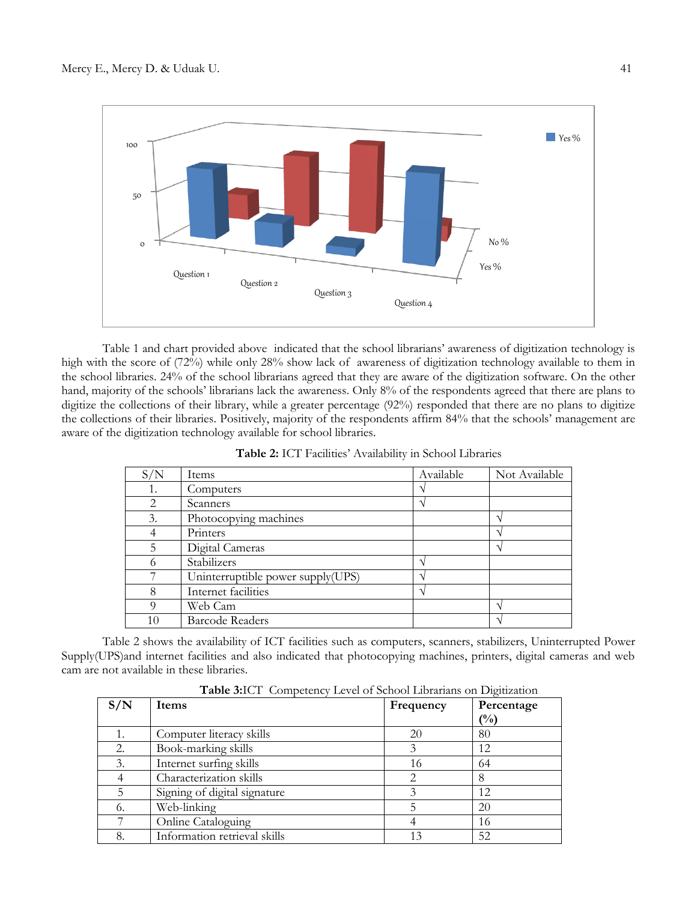

Table 1 and chart provided above indicated that the school librarians' awareness of digitization technology is high with the score of (72%) while only 28% show lack of awareness of digitization technology available to them in the school libraries. 24% of the school librarians agreed that they are aware of the digitization software. On the other hand, majority of the schools' librarians lack the awareness. Only 8% of the respondents agreed that there are plans to digitize the collections of their library, while a greater percentage (92%) responded that there are no plans to digitize the collections of their libraries. Positively, majority of the respondents affirm 84% that the schools' management are aware of the digitization technology available for school libraries.

| S/N | Items                             | Available | Not Available |
|-----|-----------------------------------|-----------|---------------|
| 1.  | Computers                         |           |               |
| 2   | Scanners                          |           |               |
| 3.  | Photocopying machines             |           |               |
| 4   | Printers                          |           |               |
| 5   | Digital Cameras                   |           |               |
| 6   | Stabilizers                       |           |               |
| ¬   | Uninterruptible power supply(UPS) |           |               |
| 8   | Internet facilities               |           |               |
| Q   | Web Cam                           |           |               |
| 10  | <b>Barcode Readers</b>            |           |               |

**Table 2:** ICT Facilities' Availability in School Libraries

Table 2 shows the availability of ICT facilities such as computers, scanners, stabilizers, Uninterrupted Power Supply(UPS)and internet facilities and also indicated that photocopying machines, printers, digital cameras and web cam are not available in these libraries.

**Table 3:**ICT Competency Level of School Librarians on Digitization

| <b>Twore offer competency hever of outbol monuments on Digital Action</b> |                              |           |                |  |  |
|---------------------------------------------------------------------------|------------------------------|-----------|----------------|--|--|
| S/N                                                                       | Items                        | Frequency | Percentage     |  |  |
|                                                                           |                              |           | $\binom{0}{0}$ |  |  |
|                                                                           | Computer literacy skills     | 20        | 80             |  |  |
| 2.                                                                        | Book-marking skills          |           | 12             |  |  |
| 3.                                                                        | Internet surfing skills      | 16        | 64             |  |  |
|                                                                           | Characterization skills      |           | 8              |  |  |
|                                                                           | Signing of digital signature |           | 12             |  |  |
| 6.                                                                        | Web-linking                  |           | 20             |  |  |
|                                                                           | Online Cataloguing           |           | 16             |  |  |
| 8.                                                                        | Information retrieval skills |           | 52             |  |  |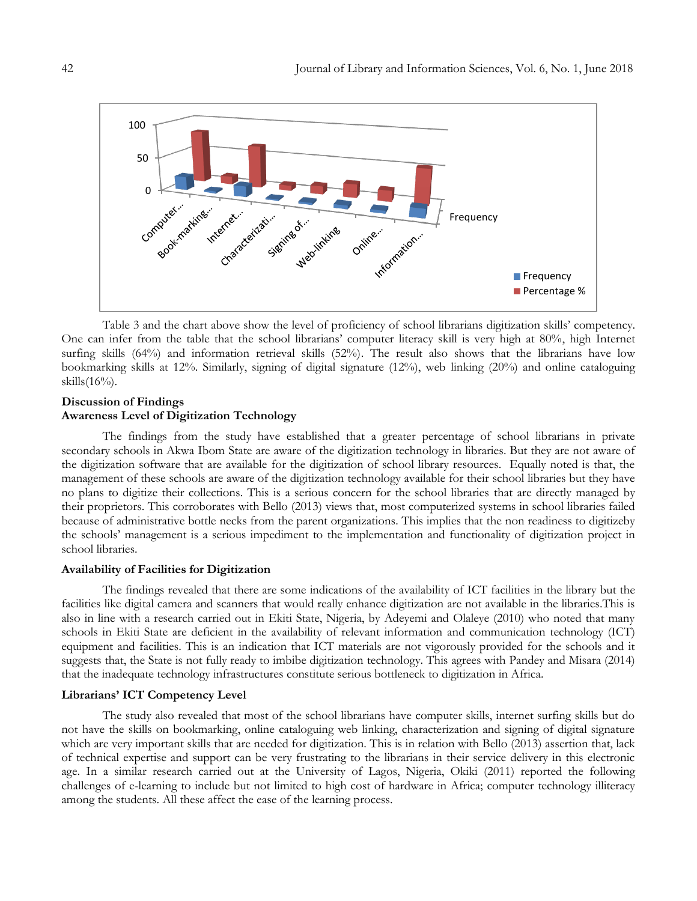

Table 3 and the chart above show the level of proficiency of school librarians digitization skills' competency. One can infer from the table that the school librarians' computer literacy skill is very high at 80%, high Internet surfing skills (64%) and information retrieval skills (52%). The result also shows that the librarians have low bookmarking skills at 12%. Similarly, signing of digital signature (12%), web linking (20%) and online cataloguing skills(16%).

## **Discussion of Findings Awareness Level of Digitization Technology**

The findings from the study have established that a greater percentage of school librarians in private secondary schools in Akwa Ibom State are aware of the digitization technology in libraries. But they are not aware of the digitization software that are available for the digitization of school library resources. Equally noted is that, the management of these schools are aware of the digitization technology available for their school libraries but they have no plans to digitize their collections. This is a serious concern for the school libraries that are directly managed by their proprietors. This corroborates with Bello (2013) views that, most computerized systems in school libraries failed because of administrative bottle necks from the parent organizations. This implies that the non readiness to digitizeby the schools' management is a serious impediment to the implementation and functionality of digitization project in school libraries.

## **Availability of Facilities for Digitization**

The findings revealed that there are some indications of the availability of ICT facilities in the library but the facilities like digital camera and scanners that would really enhance digitization are not available in the libraries.This is also in line with a research carried out in Ekiti State, Nigeria, by Adeyemi and Olaleye (2010) who noted that many schools in Ekiti State are deficient in the availability of relevant information and communication technology (ICT) equipment and facilities. This is an indication that ICT materials are not vigorously provided for the schools and it suggests that, the State is not fully ready to imbibe digitization technology. This agrees with Pandey and Misara (2014) that the inadequate technology infrastructures constitute serious bottleneck to digitization in Africa.

## **Librarians' ICT Competency Level**

The study also revealed that most of the school librarians have computer skills, internet surfing skills but do not have the skills on bookmarking, online cataloguing web linking, characterization and signing of digital signature which are very important skills that are needed for digitization. This is in relation with Bello (2013) assertion that, lack of technical expertise and support can be very frustrating to the librarians in their service delivery in this electronic age. In a similar research carried out at the University of Lagos, Nigeria, Okiki (2011) reported the following challenges of e-learning to include but not limited to high cost of hardware in Africa; computer technology illiteracy among the students. All these affect the ease of the learning process.